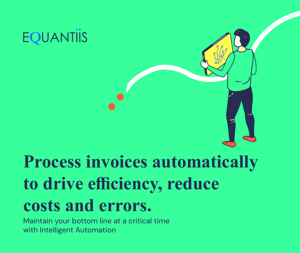# **EQUANTIIS**

# **Process invoices automatically to drive efficiency, reduce costs and errors.**

Maintain your bottom line at a critical time with Intelligent Automation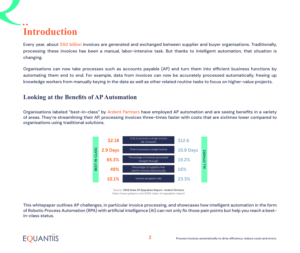# **Introduction**

Every year, about 550 billion invoices are generated and exchanged between supplier and buyer organisations. Traditionally, processing these invoices has been a manual, labor-intensive task. But thanks to intelligent automation, that situation is changing.

Organisations can now take processes such as accounts payable (AP) and turn them into efficient business functions by automating them end to end. For example, data from invoices can now be accurately processed automatically, freeing up knowledge workers from manually keying in the data as well as other related routine tasks to focus on higher-value projects.

### **Looking at the Benefits of AP Automation**

Organisations labeled "best-in-class" by Ardent Partners have employed AP automation and are seeing benefits in a variety of areas. They're streamlining their AP, processing invoices three-times faster with costs that are sixtimes lower compared to organisations using traditional solutions.



Source: 2019 State Of Epayables Report—Ardent Partners https://www.gobyinc.com/2019-state-of-epayables-report/

This whitepaper outlines AP challenges, in particular invoice processing, and showcases how intelligent automation in the form of Robotic Process Automation (RPA) with artificial intelligence (AI) can not only fix those pain points but help you reach a bestin-class status.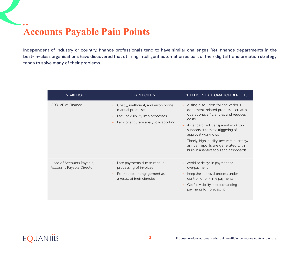## **Accounts Payable Pain Points**

Independent of industry or country, finance professionals tend to have similar challenges. Yet, finance departments in the best-in-class organisations have discovered that utilizing intelligent automation as part of their digital transformation strategy tends to solve many of their problems.

| <b>STAKEHOLDER</b>                                            | <b>PAIN POINTS</b>                                                                                                                                              | <b>INTELLIGENT AUTOMATION BENEFITS</b>                                                                                                                                                                                                                                                                                                                                            |
|---------------------------------------------------------------|-----------------------------------------------------------------------------------------------------------------------------------------------------------------|-----------------------------------------------------------------------------------------------------------------------------------------------------------------------------------------------------------------------------------------------------------------------------------------------------------------------------------------------------------------------------------|
| CFO, VP of Finance                                            | Costly, inefficient, and error-prone<br>manual processes<br>Lack of visibility into processes<br>$\bullet$<br>Lack of accurate analytics/reporting<br>$\bullet$ | A single solution for the various<br>$\bullet$<br>document-related processes creates<br>operational efficiencies and reduces<br>costs<br>A standardized, transparent workflow<br>supports automatic triggering of<br>approval workflows<br>Timely, high-quality, accurate quarterly/<br>$\bullet$<br>annual reports are generated with<br>built-in analytics tools and dashboards |
| Head of Accounts Payable,<br><b>Accounts Payable Director</b> | Late payments due to manual<br>processing of invoices<br>Poor supplier engagement as<br>a result of inefficiencies                                              | Avoid or delays in payment or<br>$\bullet$<br>overpayment<br>Keep the approval process under<br>$\bullet$<br>control for on-time payments<br>Get full visibility into outstanding<br>$\bullet$<br>payments for forecasting                                                                                                                                                        |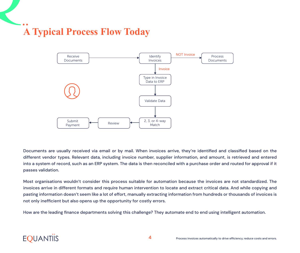# **A Typical Process Flow Today**



Documents are usually received via email or by mail. When invoices arrive, they're identified and classified based on the different vendor types. Relevant data, including invoice number, supplier information, and amount, is retrieved and entered into a system of record, such as an ERP system. The data is then reconciled with a purchase order and routed for approval if it passes validation.

Most organisations wouldn't consider this process suitable for automation because the invoices are not standardized. The invoices arrive in different formats and require human intervention to locate and extract critical data. And while copying and pasting information doesn't seem like a lot of effort, manually extracting information from hundreds or thousands of invoices is not only inefficient but also opens up the opportunity for costly errors.

How are the leading finance departments solving this challenge? They automate end to end using intelligent automation.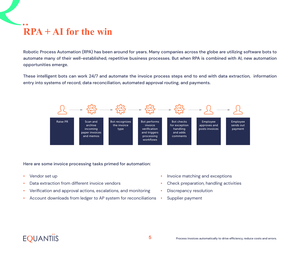# **RPA + AI for the win**

Robotic Process Automation (RPA) has been around for years. Many companies across the globe are utilizing software bots to automate many of their well-established, repetitive business processes. But when RPA is combined with AI, new automation opportunities emerge.

These intelligent bots can work 24/7 and automate the invoice process steps end to end with data extraction, information entry into systems of record, data reconciliation, automated approval routing, and payments.



#### Here are some invoice processing tasks primed for automation:

- Vendor set up
- Data extraction from different invoice vendors
- Verification and approval actions, escalations, and monitoring
- Account downloads from ledger to AP system for reconciliations
- Invoice matching and exceptions
- Check preparation, handling activities
- Discrepancy resolution
- Supplier payment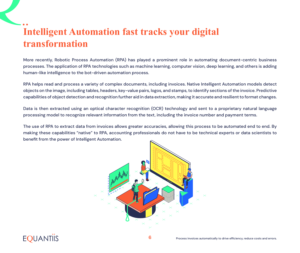## **Intelligent Automation fast tracks your digital transformation**

More recently, Robotic Process Automation (RPA) has played a prominent role in automating document-centric business processes. The application of RPA technologies such as machine learning, computer vision, deep learning, and others is adding human-like intelligence to the bot-driven automation process.

RPA helps read and process a variety of complex documents, including invoices. Native Intelligent Automation models detect objects on the image, including tables, headers, key-value pairs, logos, and stamps, to identify sections of the invoice. Predictive capabilities of object detection and recognition further aid in data extraction, making it accurate and resilient to format changes.

Data is then extracted using an optical character recognition (OCR) technology and sent to a proprietary natural language processing model to recognize relevant information from the text, including the invoice number and payment terms.

The use of RPA to extract data from invoices allows greater accuracies, allowing this process to be automated end to end. By making these capabilities "native" to RPA, accounting professionals do not have to be technical experts or data scientists to benefit from the power of Intelligent Automation.



## **EOUANTIIS**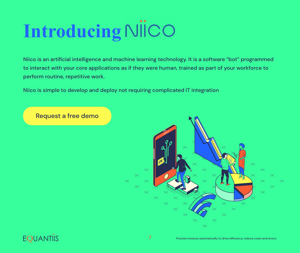# **Introducing**

Niico is an artificial intelligence and machine learning technology. It is a software "bot" programmed to interact with your core applications as if they were human, trained as part of your workforce to perform routine, repetitive work.

Niico is simple to develop and deploy not requiring complicated IT integration

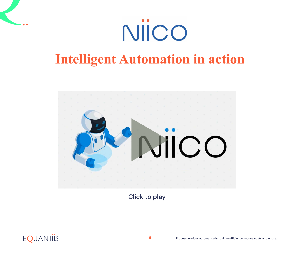

# **Intelligent Automation in action**



Click to play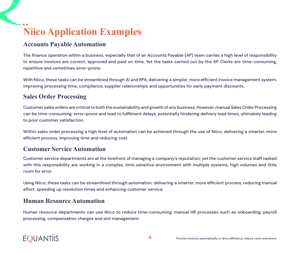# **Niico Application Examples**

### **Accounts Payable Automation**

The finance operation within a business, especially that of an Accounts Payable (AP) team carries a high level of responsibility to ensure invoices are correct, approved and paid on time. Yet the tasks carried out by the AP Clerks are time-consuming, repetitive and sometimes error-prone.

With Niico, these tasks can be streamlined through AI and RPA, delivering a simpler, more efficient invoice management system, improving processing time, compliance, supplier relationships and opportunities for early payment discounts.

### **Sales Order Processing**

Customer sales orders are critical to both the sustainability and growth of any business. However, manual Sales Order Processing can be time-consuming, error-prone and lead to fulfilment delays, potentially hindering delivery lead times, ultimately leading to poor customer satisfaction.

Within sales order processing a high level of automation can be achieved through the use of Niico, delivering a smarter, more efficient process, improving time and reducing cost.

#### **Customer Service Automation**

Customer service departments are at the forefront of managing a company's reputation; yet the customer service staff tasked with this responsibility are working in a complex, time sensitive environment with multiple systems, high volumes and little room for error.

Using Niico, these tasks can be streamlined through automation, delivering a smarter, more efficient process, reducing manual effort, speeding up resolution times and enhancing customer service.

### **Human Resource Automation**

Human resource departments can use Niico to reduce time-consuming, manual HR processes such as onboarding, payroll processing, compensation charges and exit management.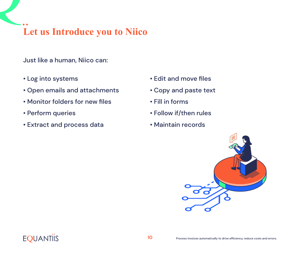## **Let us Introduce you to Niico**

Just like a human, Niico can:

- Log into systems
- Open emails and attachments
- Monitor folders for new files
- Perform queries
- Extract and process data
- Edit and move files
- Copy and paste text
- Fill in forms
- Follow if/then rules
- Maintain records

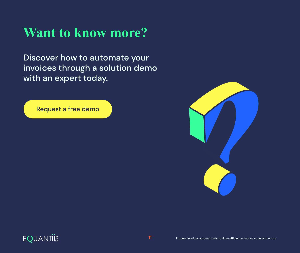# **Want to know more?**

Discover how to automate your invoices through a solution demo with an expert today.